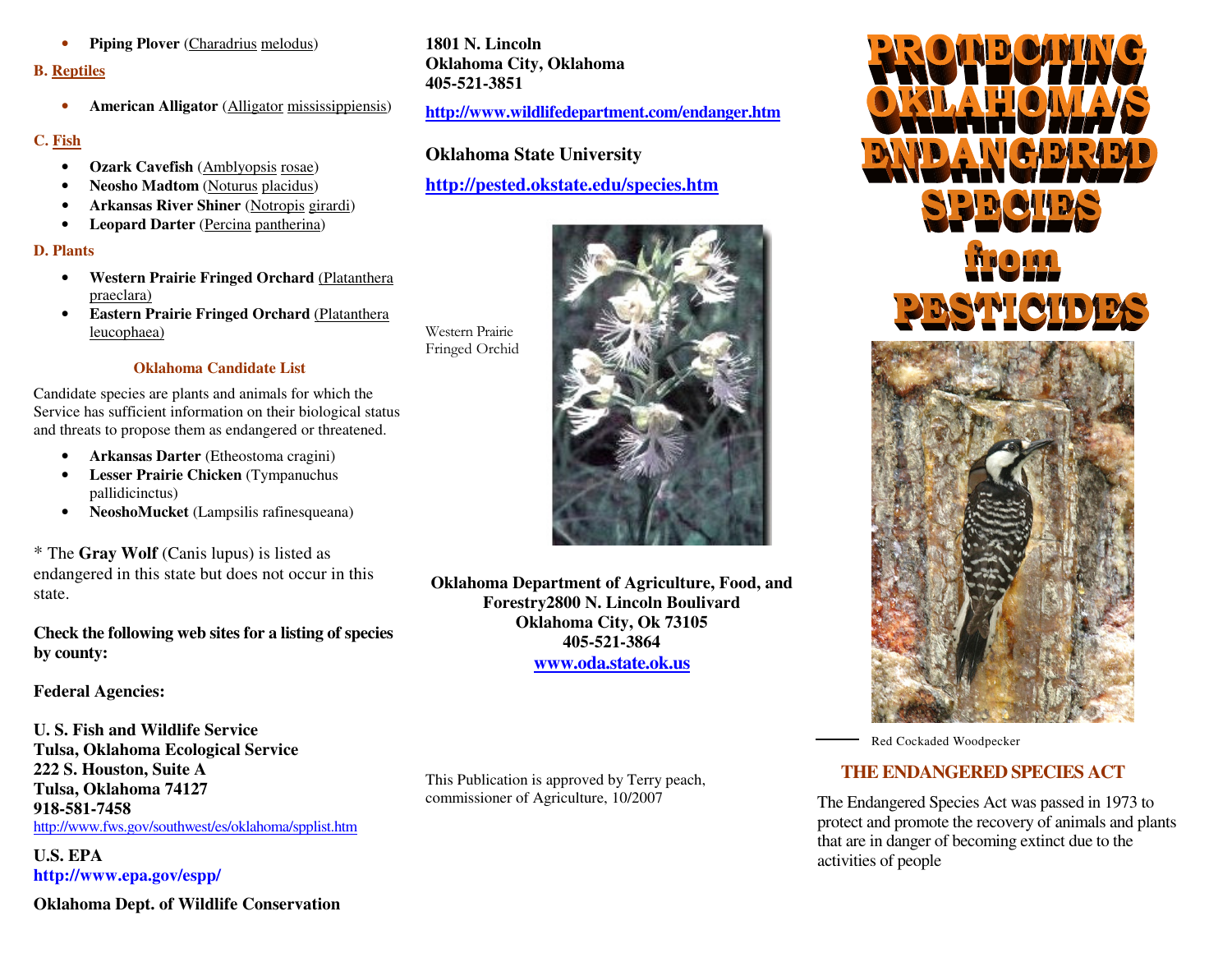• **Piping Plover** (Charadrius melodus)

#### **B. Reptiles**

• **American Alligator** (Alligator mississippiensis)

#### **C. Fish**

- **Ozark Cavefish** (Amblyopsis rosae)
- **Neosho Madtom** (Noturus placidus)
- **Arkansas River Shiner** (Notropis girardi)
- **Leopard Darter** (Percina pantherina)

#### **D. Plants**

- **Western Prairie Fringed Orchard** (Platanthera praeclara)
- **Eastern Prairie Fringed Orchard** (Platanthera leucophaea)

Western Prairie Fringed Orchid

#### **Oklahoma Candidate List**

Candidate species are plants and animals for which the Service has sufficient information on their biological status and threats to propose them as endangered or threatened.

- **Arkansas Darter** (Etheostoma cragini)
- **Lesser Prairie Chicken** (Tympanuchus pallidicinctus)
- **NeoshoMucket** (Lampsilis rafinesqueana)

\* The **Gray Wolf** (Canis lupus) is listed as endangered in this state but does not occur in thisstate.

**Check the following web sites for a listing of species by county:** 

### **Federal Agencies:**

**U. S. Fish and Wildlife Service Tulsa, Oklahoma Ecological Service 222 S. Houston, Suite A Tulsa, Oklahoma 74127 918-581-7458** http://www.fws.gov/southwest/es/oklahoma/spplist.htm

**U.S. EPA http://www.epa.gov/espp/** 

**Oklahoma Dept. of Wildlife Conservation** 

**1801 N. Lincoln Oklahoma City, Oklahoma 405-521-3851** 

**http://www.wildlifedepartment.com/endanger.htm**

## **Oklahoma State University**

## **http://pested.okstate.edu/species.htm**



**Oklahoma Department of Agriculture, Food, and Forestry2800 N. Lincoln Boulivard Oklahoma City, Ok 73105 405-521-3864 www.oda.state.ok.us**

This Publication is approved by Terry peach, commissioner of Agriculture, 10/2007



Red Cockaded Woodpecker

# **THE ENDANGERED SPECIES ACT**

The Endangered Species Act was passed in 1973 to protect and promote the recovery of animals and plants that are in danger of becoming extinct due to the activities of people